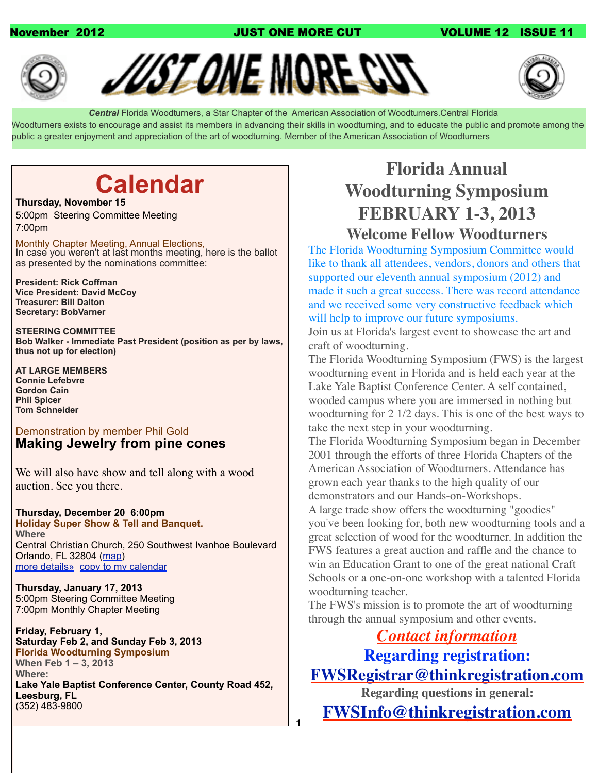## November 2012 **Market Strategie and AUST ONE MORE CUT COLUME 12 ISSUE 11**







 *Central* Florida Woodturners, a Star Chapter of the American Association of Woodturners.Central Florida Woodturners exists to encourage and assist its members in advancing their skills in woodturning, and to educate the public and promote among the public a greater enjoyment and appreciation of the art of woodturning. Member of the American Association of Woodturners

1

# **Calendar**

### **Thursday, November 15**

5:00pm Steering Committee Meeting 7:00pm

Monthly Chapter Meeting, Annual Elections, In case you weren't at last months meeting, here is the ballot as presented by the nominations committee:

**President: Rick Coffman Vice President: David McCoy Treasurer: Bill Dalton Secretary: BobVarner**

**STEERING COMMITTEE Bob Walker - Immediate Past President (position as per by laws, thus not up for election)**

**AT LARGE MEMBERS Connie Lefebvre Gordon Cain Phil Spicer Tom Schneider**

## Demonstration by member Phil Gold **Making Jewelry from pine cones**

We will also have show and tell along with a wood auction. See you there.

### **Thursday, December 20 6:00pm Holiday Super Show & Tell and Banquet. Where** Central Christian Church, 250 Southwest Ivanhoe Boulevard Orlando, FL 32804 [\(map\)](http://maps.google.com/maps?hl=en&q=Central%20Christian%20Church%2C%20250%20Southwest%20Ivanhoe%20Boulevard%20%20Orlando%2C%20FL%2032804)

[more details»](https://www.google.com/calendar/event?eid=ZjAwYWxrODd0NThrdmhzc2wyM2hpbmJtbG9fMjAxMjEyMjFUMDAwMDAwWiBjZndvb2R0dXJuZXJzQG0&ctz=America/New_York) [copy to my calendar](https://www.google.com/calendar/event?action=TEMPLATE&hl=en&text=Holiday%20Super%20Show%20%26amp%3B%20Tell%20and%20Banquet.&dates=20121220T180000%2F20121220T200000&location=Central%20Christian%20Church%2C%20250%20Southwest%20Ivanhoe%20Boulevard%20%20Orlando%2C%20FL%2032804&ctz=America%2FNew_York&details)

**Thursday, January 17, 2013** 5:00pm Steering Committee Meeting 7:00pm Monthly Chapter Meeting

**Friday, February 1, Saturday Feb 2, and Sunday Feb 3, 2013 Florida Woodturning Symposium When Feb 1 – 3, 2013 Where: Lake Yale Baptist Conference Center, County Road 452, Leesburg, FL** (352) 483-9800

# **Florida Annual Woodturning Symposium FEBRUARY 1-3, 2013**

## **Welcome Fellow Woodturners**

The Florida Woodturning Symposium Committee would like to thank all attendees, vendors, donors and others that supported our eleventh annual symposium (2012) and made it such a great success. There was record attendance and we received some very constructive feedback which will help to improve our future symposiums.

Join us at Florida's largest event to showcase the art and craft of woodturning.

The Florida Woodturning Symposium (FWS) is the largest woodturning event in Florida and is held each year at the Lake Yale Baptist Conference Center. A self contained, wooded campus where you are immersed in nothing but woodturning for 2 1/2 days. This is one of the best ways to take the next step in your woodturning.

The Florida Woodturning Symposium began in December 2001 through the efforts of three Florida Chapters of the American Association of Woodturners. Attendance has grown each year thanks to the high quality of our demonstrators and our Hands-on-Workshops. A large trade show offers the woodturning "goodies"

you've been looking for, both new woodturning tools and a great selection of wood for the woodturner. In addition the FWS features a great auction and raffle and the chance to win an Education Grant to one of the great national Craft Schools or a one-on-one workshop with a talented Florida woodturning teacher.

The FWS's mission is to promote the art of woodturning through the annual symposium and other events.

## *Contact information* **Regarding registration: [FWSRegistrar@thinkregistration.com](mailto:FWSRegistrar@thinkregistration.com)**

**Regarding questions in general:**

**[FWSInfo@thinkregistration.com](mailto:FWSInfo@thinkregistration.com)**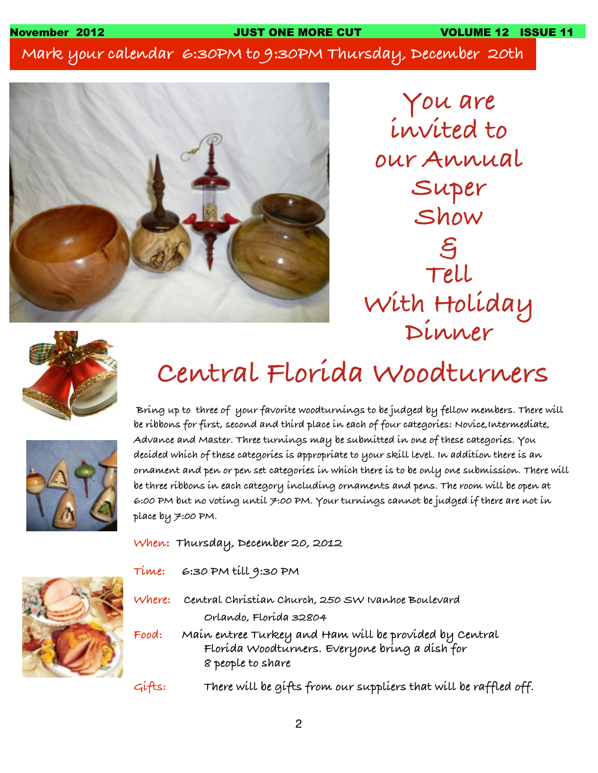**Mark your calendar 6:30PM to 9:30PM Thursday, December 20th**



**You are invited to our Annual Super Show & Tell With Holiday Dinner**



# **Central Florida Woodturners**



 **Bring up to three of your favorite woodturnings to be judged by fellow members. There will be ribbons for first, second and third place in each of four categories: Novice,Intermediate, Advance and Master. Three turnings may be submitted in one of these categories. You decided which of these categories is appropriate to your skill level. In addition there is an ornament and pen or pen set categories in which there is to be only one submission. There will be three ribbons in each category including ornaments and pens. The room will be open at 6:00 PM but no voting until 7:00 PM. Your turnings cannot be judged if there are not in place by 7:00 PM.**

**When: Thursday, December 20, 2012**



- **Time: 6:30 PM till 9:30 PM**
- **Where: Central Christian Church, 250 SW Ivanhoe Boulevard ! ! Orlando, Florida 32804**
- **Food: Main entree Turkey and Ham will be provided by Central ! ! Florida Woodturners. Everyone bring a dish for ! ! 8 people to share**
- **Gifts: There will be gifts from our suppliers that will be raffled off.**